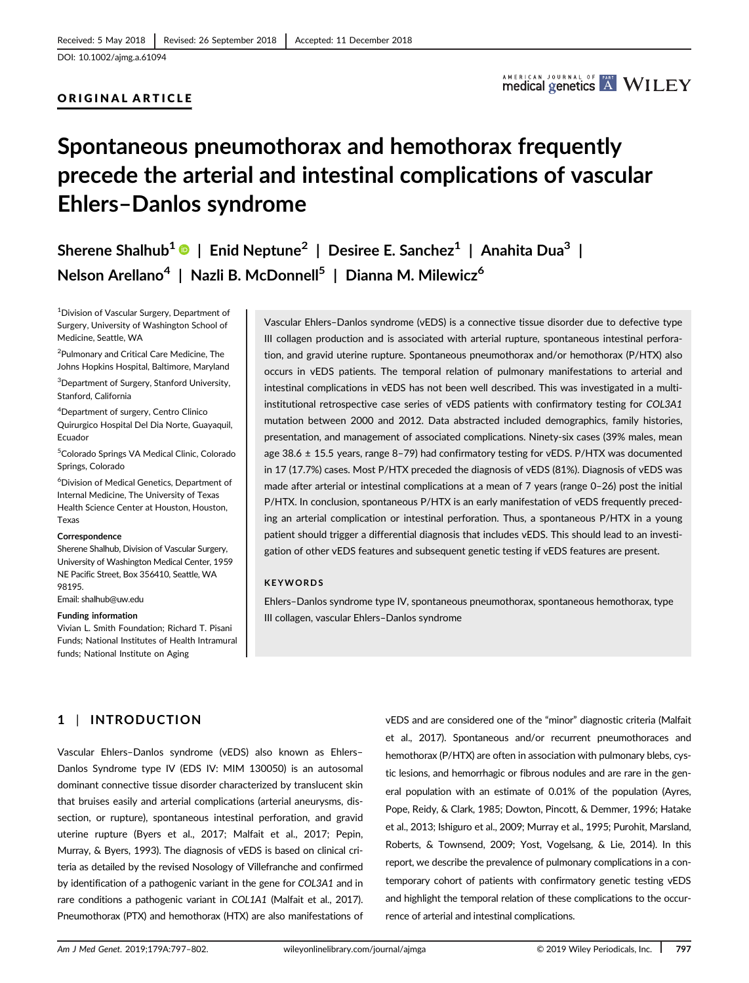DOI: 10.1002/ajmg.a.61094

## ORIGINAL ARTICLE

# Spontaneous pneumothorax and hemothorax frequently precede the arterial and intestinal complications of vascular Ehlers–Danlos syndrome

Sherene Shalhub<sup>1</sup> | Enid Neptune<sup>2</sup> | Desiree E. Sanchez<sup>1</sup> | Anahita Dua<sup>3</sup> | Nelson Arellano<sup>4</sup> | Nazli B. McDonnell<sup>5</sup> | Dianna M. Milewicz<sup>6</sup>

1 Division of Vascular Surgery, Department of Surgery, University of Washington School of Medicine, Seattle, WA

2 Pulmonary and Critical Care Medicine, The Johns Hopkins Hospital, Baltimore, Maryland

<sup>3</sup>Department of Surgery, Stanford University, Stanford, California

4 Department of surgery, Centro Clinico Quirurgico Hospital Del Dia Norte, Guayaquil, Ecuador

5 Colorado Springs VA Medical Clinic, Colorado Springs, Colorado

6 Division of Medical Genetics, Department of Internal Medicine, The University of Texas Health Science Center at Houston, Houston, Texas

#### Correspondence

Sherene Shalhub, Division of Vascular Surgery, University of Washington Medical Center, 1959 NE Pacific Street, Box 356410, Seattle, WA 98195.

Email: [shalhub@uw.edu](mailto:shalhub@uw.edu)

#### Funding information

Vivian L. Smith Foundation; Richard T. Pisani Funds; National Institutes of Health Intramural funds; National Institute on Aging

Vascular Ehlers–Danlos syndrome (vEDS) is a connective tissue disorder due to defective type III collagen production and is associated with arterial rupture, spontaneous intestinal perforation, and gravid uterine rupture. Spontaneous pneumothorax and/or hemothorax (P/HTX) also occurs in vEDS patients. The temporal relation of pulmonary manifestations to arterial and intestinal complications in vEDS has not been well described. This was investigated in a multiinstitutional retrospective case series of vEDS patients with confirmatory testing for COL3A1 mutation between 2000 and 2012. Data abstracted included demographics, family histories, presentation, and management of associated complications. Ninety-six cases (39% males, mean age 38.6 ± 15.5 years, range 8–79) had confirmatory testing for vEDS. P/HTX was documented in 17 (17.7%) cases. Most P/HTX preceded the diagnosis of vEDS (81%). Diagnosis of vEDS was made after arterial or intestinal complications at a mean of 7 years (range 0–26) post the initial P/HTX. In conclusion, spontaneous P/HTX is an early manifestation of vEDS frequently preceding an arterial complication or intestinal perforation. Thus, a spontaneous P/HTX in a young patient should trigger a differential diagnosis that includes vEDS. This should lead to an investigation of other vEDS features and subsequent genetic testing if vEDS features are present.

## **KEYWORDS**

Ehlers–Danlos syndrome type IV, spontaneous pneumothorax, spontaneous hemothorax, type III collagen, vascular Ehlers–Danlos syndrome

# 1 | INTRODUCTION

Vascular Ehlers–Danlos syndrome (vEDS) also known as Ehlers– Danlos Syndrome type IV (EDS IV: MIM 130050) is an autosomal dominant connective tissue disorder characterized by translucent skin that bruises easily and arterial complications (arterial aneurysms, dissection, or rupture), spontaneous intestinal perforation, and gravid uterine rupture (Byers et al., 2017; Malfait et al., 2017; Pepin, Murray, & Byers, 1993). The diagnosis of vEDS is based on clinical criteria as detailed by the revised Nosology of Villefranche and confirmed by identification of a pathogenic variant in the gene for COL3A1 and in rare conditions a pathogenic variant in COL1A1 (Malfait et al., 2017). Pneumothorax (PTX) and hemothorax (HTX) are also manifestations of vEDS and are considered one of the "minor" diagnostic criteria (Malfait et al., 2017). Spontaneous and/or recurrent pneumothoraces and hemothorax (P/HTX) are often in association with pulmonary blebs, cystic lesions, and hemorrhagic or fibrous nodules and are rare in the general population with an estimate of 0.01% of the population (Ayres, Pope, Reidy, & Clark, 1985; Dowton, Pincott, & Demmer, 1996; Hatake et al., 2013; Ishiguro et al., 2009; Murray et al., 1995; Purohit, Marsland, Roberts, & Townsend, 2009; Yost, Vogelsang, & Lie, 2014). In this report, we describe the prevalence of pulmonary complications in a contemporary cohort of patients with confirmatory genetic testing vEDS and highlight the temporal relation of these complications to the occurrence of arterial and intestinal complications.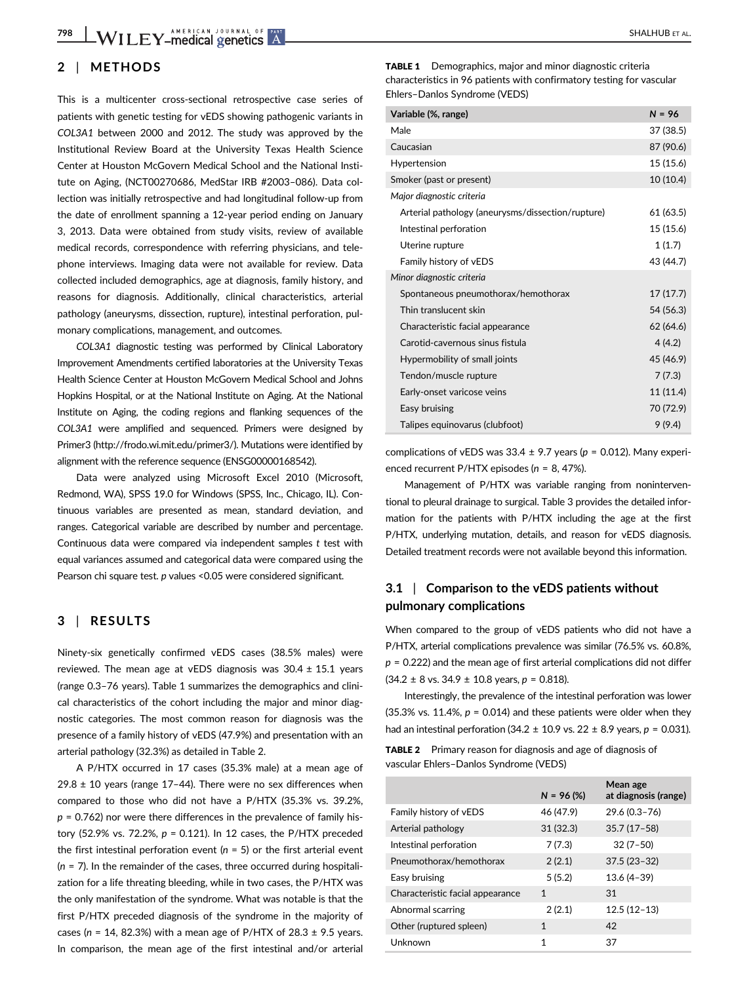# 2 | METHODS

This is a multicenter cross-sectional retrospective case series of patients with genetic testing for vEDS showing pathogenic variants in COL3A1 between 2000 and 2012. The study was approved by the Institutional Review Board at the University Texas Health Science Center at Houston McGovern Medical School and the National Institute on Aging, (NCT00270686, MedStar IRB #2003–086). Data collection was initially retrospective and had longitudinal follow-up from the date of enrollment spanning a 12-year period ending on January 3, 2013. Data were obtained from study visits, review of available medical records, correspondence with referring physicians, and telephone interviews. Imaging data were not available for review. Data collected included demographics, age at diagnosis, family history, and reasons for diagnosis. Additionally, clinical characteristics, arterial pathology (aneurysms, dissection, rupture), intestinal perforation, pulmonary complications, management, and outcomes.

COL3A1 diagnostic testing was performed by Clinical Laboratory Improvement Amendments certified laboratories at the University Texas Health Science Center at Houston McGovern Medical School and Johns Hopkins Hospital, or at the National Institute on Aging. At the National Institute on Aging, the coding regions and flanking sequences of the COL3A1 were amplified and sequenced. Primers were designed by Primer3 [\(http://frodo.wi.mit.edu/primer3/\)](http://frodo.wi.mit.edu/primer3/). Mutations were identified by alignment with the reference sequence (ENSG00000168542).

Data were analyzed using Microsoft Excel 2010 (Microsoft, Redmond, WA), SPSS 19.0 for Windows (SPSS, Inc., Chicago, IL). Continuous variables are presented as mean, standard deviation, and ranges. Categorical variable are described by number and percentage. Continuous data were compared via independent samples t test with equal variances assumed and categorical data were compared using the Pearson chi square test. p values <0.05 were considered significant.

## 3 | RESULTS

Ninety-six genetically confirmed vEDS cases (38.5% males) were reviewed. The mean age at vEDS diagnosis was  $30.4 \pm 15.1$  years (range 0.3–76 years). Table 1 summarizes the demographics and clinical characteristics of the cohort including the major and minor diagnostic categories. The most common reason for diagnosis was the presence of a family history of vEDS (47.9%) and presentation with an arterial pathology (32.3%) as detailed in Table 2.

A P/HTX occurred in 17 cases (35.3% male) at a mean age of  $29.8 \pm 10$  years (range 17-44). There were no sex differences when compared to those who did not have a P/HTX (35.3% vs. 39.2%,  $p = 0.762$ ) nor were there differences in the prevalence of family history (52.9% vs. 72.2%,  $p = 0.121$ ). In 12 cases, the P/HTX preceded the first intestinal perforation event ( $n = 5$ ) or the first arterial event  $(n = 7)$ . In the remainder of the cases, three occurred during hospitalization for a life threating bleeding, while in two cases, the P/HTX was the only manifestation of the syndrome. What was notable is that the first P/HTX preceded diagnosis of the syndrome in the majority of cases ( $n = 14$ , 82.3%) with a mean age of P/HTX of 28.3  $\pm$  9.5 years. In comparison, the mean age of the first intestinal and/or arterial

TABLE 1 Demographics, major and minor diagnostic criteria characteristics in 96 patients with confirmatory testing for vascular Ehlers–Danlos Syndrome (VEDS)

| Variable (%, range)                               | $N = 96$  |  |  |  |
|---------------------------------------------------|-----------|--|--|--|
| Male                                              | 37 (38.5) |  |  |  |
| Caucasian                                         | 87 (90.6) |  |  |  |
| Hypertension                                      | 15 (15.6) |  |  |  |
| Smoker (past or present)                          | 10 (10.4) |  |  |  |
| Major diagnostic criteria                         |           |  |  |  |
| Arterial pathology (aneurysms/dissection/rupture) | 61 (63.5) |  |  |  |
| Intestinal perforation                            | 15 (15.6) |  |  |  |
| Uterine rupture                                   | 1(1.7)    |  |  |  |
| Family history of vEDS                            |           |  |  |  |
| Minor diagnostic criteria                         |           |  |  |  |
| Spontaneous pneumothorax/hemothorax               | 17(17.7)  |  |  |  |
| Thin translucent skin                             | 54 (56.3) |  |  |  |
| Characteristic facial appearance                  | 62 (64.6) |  |  |  |
| Carotid-cavernous sinus fistula                   | 4(4.2)    |  |  |  |
| Hypermobility of small joints                     | 45 (46.9) |  |  |  |
| Tendon/muscle rupture                             | 7(7.3)    |  |  |  |
| Early-onset varicose veins                        | 11 (11.4) |  |  |  |
| Easy bruising                                     | 70 (72.9) |  |  |  |
| Talipes equinovarus (clubfoot)                    | 9(9.4)    |  |  |  |

complications of vEDS was  $33.4 \pm 9.7$  years ( $p = 0.012$ ). Many experienced recurrent P/HTX episodes (n = 8, 47%).

Management of P/HTX was variable ranging from noninterventional to pleural drainage to surgical. Table 3 provides the detailed information for the patients with P/HTX including the age at the first P/HTX, underlying mutation, details, and reason for vEDS diagnosis. Detailed treatment records were not available beyond this information.

# 3.1 | Comparison to the vEDS patients without pulmonary complications

When compared to the group of vEDS patients who did not have a P/HTX, arterial complications prevalence was similar (76.5% vs. 60.8%,  $p = 0.222$ ) and the mean age of first arterial complications did not differ  $(34.2 \pm 8 \text{ vs. } 34.9 \pm 10.8 \text{ years}, p = 0.818).$ 

Interestingly, the prevalence of the intestinal perforation was lower  $(35.3\% \text{ vs. } 11.4\%, p = 0.014)$  and these patients were older when they had an intestinal perforation (34.2  $\pm$  10.9 vs. 22  $\pm$  8.9 years, p = 0.031).

| <b>TABLE 2</b> Primary reason for diagnosis and age of diagnosis of |
|---------------------------------------------------------------------|
| vascular Ehlers-Danlos Syndrome (VEDS)                              |

|                                  | $N = 96 (%)$ | Mean age<br>at diagnosis (range) |
|----------------------------------|--------------|----------------------------------|
| Family history of vEDS           | 46 (47.9)    | 29.6 (0.3-76)                    |
| Arterial pathology               | 31 (32.3)    | $35.7(17-58)$                    |
| Intestinal perforation           | 7(7.3)       | $32(7-50)$                       |
| Pneumothorax/hemothorax          | 2(2.1)       | $37.5(23-32)$                    |
| Easy bruising                    | 5(5.2)       | $13.6(4-39)$                     |
| Characteristic facial appearance | $\mathbf{1}$ | 31                               |
| Abnormal scarring                | 2(2.1)       | $12.5(12-13)$                    |
| Other (ruptured spleen)          | 1            | 42                               |
| Unknown                          | 1            | 37                               |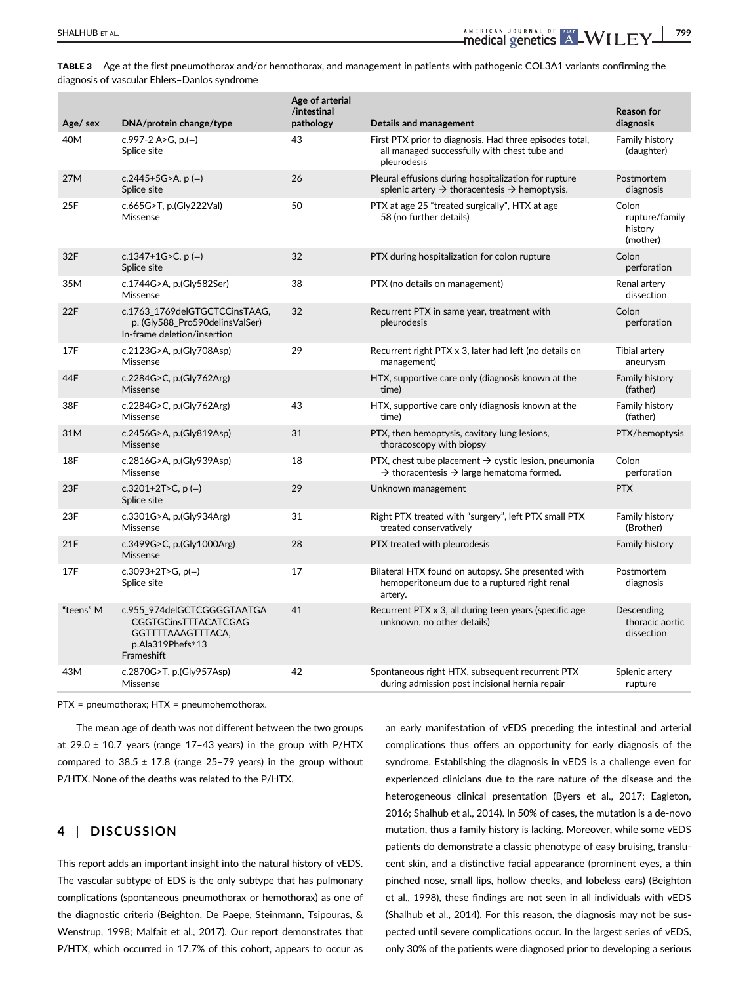TABLE 3 Age at the first pneumothorax and/or hemothorax, and management in patients with pathogenic COL3A1 variants confirming the diagnosis of vascular Ehlers–Danlos syndrome

|           |                                                                                                                  | Age of arterial<br>/intestinal |                                                                                                                                      | <b>Reason for</b>                              |
|-----------|------------------------------------------------------------------------------------------------------------------|--------------------------------|--------------------------------------------------------------------------------------------------------------------------------------|------------------------------------------------|
| Age/ sex  | DNA/protein change/type                                                                                          | pathology                      | Details and management                                                                                                               | diagnosis                                      |
| 40M       | c.997-2 A>G, p.(-)<br>Splice site                                                                                | 43                             | First PTX prior to diagnosis. Had three episodes total,<br>all managed successfully with chest tube and<br>pleurodesis               | Family history<br>(daughter)                   |
| 27M       | c.2445+5G>A, $p$ (-)<br>Splice site                                                                              | 26                             | Pleural effusions during hospitalization for rupture<br>splenic artery $\rightarrow$ thoracentesis $\rightarrow$ hemoptysis.         | Postmortem<br>diagnosis                        |
| 25F       | c.665G>T, p.(Gly222Val)<br>Missense                                                                              | 50                             | PTX at age 25 "treated surgically", HTX at age<br>58 (no further details)                                                            | Colon<br>rupture/family<br>history<br>(mother) |
| 32F       | c.1347+1G>C, $p(-)$<br>Splice site                                                                               | 32                             | PTX during hospitalization for colon rupture                                                                                         | Colon<br>perforation                           |
| 35M       | c.1744G>A, p.(Gly582Ser)<br>Missense                                                                             | 38                             | PTX (no details on management)                                                                                                       | Renal artery<br>dissection                     |
| 22F       | c.1763_1769delGTGCTCCinsTAAG,<br>p. (Gly588_Pro590delinsValSer)<br>In-frame deletion/insertion                   | 32                             | Recurrent PTX in same year, treatment with<br>pleurodesis                                                                            | Colon<br>perforation                           |
| 17F       | c.2123G>A, p.(Gly708Asp)<br>Missense                                                                             | 29                             | Recurrent right PTX x 3, later had left (no details on<br>management)                                                                | Tibial artery<br>aneurysm                      |
| 44F       | c.2284G>C, p.(Gly762Arg)<br>Missense                                                                             |                                | HTX, supportive care only (diagnosis known at the<br>time)                                                                           | Family history<br>(father)                     |
| 38F       | c.2284G>C, p.(Gly762Arg)<br>Missense                                                                             | 43                             | HTX, supportive care only (diagnosis known at the<br>time)                                                                           | Family history<br>(father)                     |
| 31M       | c.2456G>A, p.(Gly819Asp)<br>Missense                                                                             | 31                             | PTX, then hemoptysis, cavitary lung lesions,<br>thoracoscopy with biopsy                                                             | PTX/hemoptysis                                 |
| 18F       | c.2816G>A, p.(Gly939Asp)<br>Missense                                                                             | 18                             | PTX, chest tube placement $\rightarrow$ cystic lesion, pneumonia<br>$\rightarrow$ thoracentesis $\rightarrow$ large hematoma formed. | Colon<br>perforation                           |
| 23F       | c.3201+2T>C, $p$ (-)<br>Splice site                                                                              | 29                             | Unknown management                                                                                                                   | <b>PTX</b>                                     |
| 23F       | c.3301G>A, p.(Gly934Arg)<br>Missense                                                                             | 31                             | Right PTX treated with "surgery", left PTX small PTX<br>treated conservatively                                                       | Family history<br>(Brother)                    |
| 21F       | c.3499G>C, p.(Gly1000Arg)<br>Missense                                                                            | 28                             | PTX treated with pleurodesis                                                                                                         | <b>Family history</b>                          |
| 17F       | c.3093+2T>G, $p(-)$<br>Splice site                                                                               | 17                             | Bilateral HTX found on autopsy. She presented with<br>hemoperitoneum due to a ruptured right renal<br>artery.                        | Postmortem<br>diagnosis                        |
| "teens" M | c.955 974delGCTCGGGGTAATGA<br><b>CGGTGCinsTTTACATCGAG</b><br>GGTTTTAAAGTTTACA,<br>p.Ala319Phefs*13<br>Frameshift | 41                             | Recurrent PTX x 3, all during teen years (specific age<br>unknown, no other details)                                                 | Descending<br>thoracic aortic<br>dissection    |
| 43M       | c.2870G>T, p.(Gly957Asp)<br>Missense                                                                             | 42                             | Spontaneous right HTX, subsequent recurrent PTX<br>during admission post incisional hernia repair                                    | Splenic artery<br>rupture                      |

PTX = pneumothorax; HTX = pneumohemothorax.

The mean age of death was not different between the two groups at 29.0  $\pm$  10.7 years (range 17-43 years) in the group with P/HTX compared to  $38.5 \pm 17.8$  (range 25-79 years) in the group without P/HTX. None of the deaths was related to the P/HTX.

# 4 | DISCUSSION

This report adds an important insight into the natural history of vEDS. The vascular subtype of EDS is the only subtype that has pulmonary complications (spontaneous pneumothorax or hemothorax) as one of the diagnostic criteria (Beighton, De Paepe, Steinmann, Tsipouras, & Wenstrup, 1998; Malfait et al., 2017). Our report demonstrates that P/HTX, which occurred in 17.7% of this cohort, appears to occur as

an early manifestation of vEDS preceding the intestinal and arterial complications thus offers an opportunity for early diagnosis of the syndrome. Establishing the diagnosis in vEDS is a challenge even for experienced clinicians due to the rare nature of the disease and the heterogeneous clinical presentation (Byers et al., 2017; Eagleton, 2016; Shalhub et al., 2014). In 50% of cases, the mutation is a de-novo mutation, thus a family history is lacking. Moreover, while some vEDS patients do demonstrate a classic phenotype of easy bruising, translucent skin, and a distinctive facial appearance (prominent eyes, a thin pinched nose, small lips, hollow cheeks, and lobeless ears) (Beighton et al., 1998), these findings are not seen in all individuals with vEDS (Shalhub et al., 2014). For this reason, the diagnosis may not be suspected until severe complications occur. In the largest series of vEDS, only 30% of the patients were diagnosed prior to developing a serious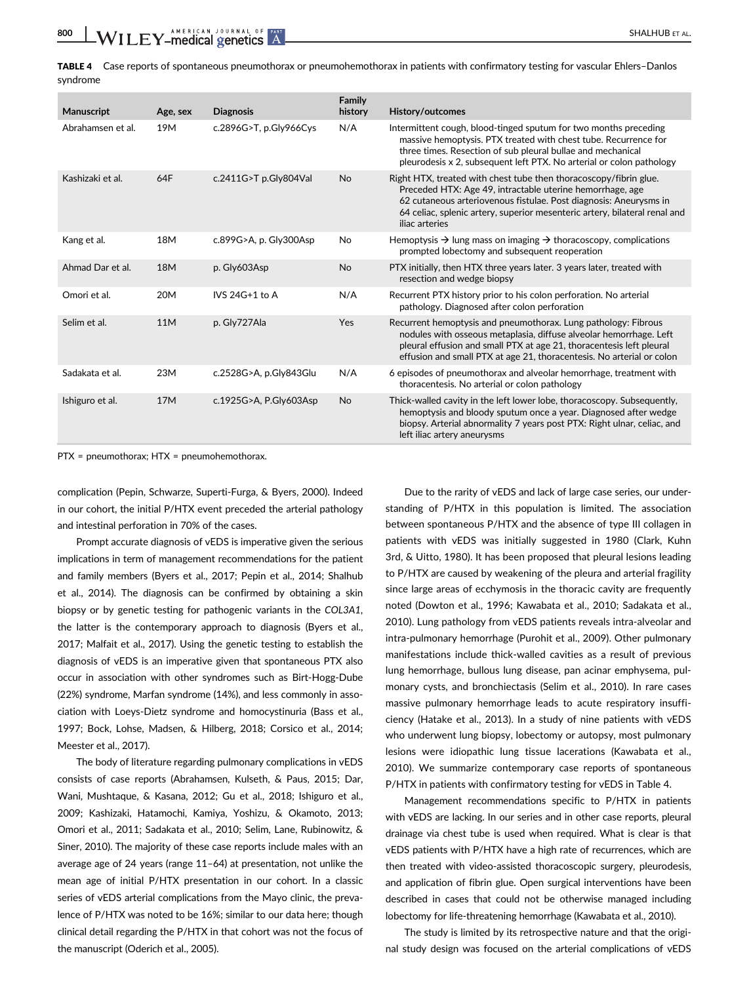TABLE 4 Case reports of spontaneous pneumothorax or pneumohemothorax in patients with confirmatory testing for vascular Ehlers–Danlos syndrome

| <b>Manuscript</b> | Age, sex | <b>Diagnosis</b>       | Family<br>history | History/outcomes                                                                                                                                                                                                                                                                                    |
|-------------------|----------|------------------------|-------------------|-----------------------------------------------------------------------------------------------------------------------------------------------------------------------------------------------------------------------------------------------------------------------------------------------------|
| Abrahamsen et al. | 19M      | c.2896G>T, p.Gly966Cys | N/A               | Intermittent cough, blood-tinged sputum for two months preceding<br>massive hemoptysis. PTX treated with chest tube. Recurrence for<br>three times. Resection of sub pleural bullae and mechanical<br>pleurodesis x 2, subsequent left PTX. No arterial or colon pathology                          |
| Kashizaki et al.  | 64F      | c.2411G>T p.Gly804Val  | <b>No</b>         | Right HTX, treated with chest tube then thoracoscopy/fibrin glue.<br>Preceded HTX: Age 49, intractable uterine hemorrhage, age<br>62 cutaneous arteriovenous fistulae. Post diagnosis: Aneurysms in<br>64 celiac, splenic artery, superior mesenteric artery, bilateral renal and<br>iliac arteries |
| Kang et al.       | 18M      | c.899G>A, p. Gly300Asp | <b>No</b>         | Hemoptysis $\rightarrow$ lung mass on imaging $\rightarrow$ thoracoscopy, complications<br>prompted lobectomy and subsequent reoperation                                                                                                                                                            |
| Ahmad Dar et al.  | 18M      | p. Gly603Asp           | <b>No</b>         | PTX initially, then HTX three years later. 3 years later, treated with<br>resection and wedge biopsy                                                                                                                                                                                                |
| Omori et al.      | 20M      | IVS $24G+1$ to A       | N/A               | Recurrent PTX history prior to his colon perforation. No arterial<br>pathology. Diagnosed after colon perforation                                                                                                                                                                                   |
| Selim et al.      | 11M      | p. Gly727Ala           | <b>Yes</b>        | Recurrent hemoptysis and pneumothorax. Lung pathology: Fibrous<br>nodules with osseous metaplasia, diffuse alveolar hemorrhage. Left<br>pleural effusion and small PTX at age 21, thoracentesis left pleural<br>effusion and small PTX at age 21, thoracentesis. No arterial or colon               |
| Sadakata et al.   | 23M      | c.2528G>A, p.Gly843Glu | N/A               | 6 episodes of pneumothorax and alveolar hemorrhage, treatment with<br>thoracentesis. No arterial or colon pathology                                                                                                                                                                                 |
| Ishiguro et al.   | 17M      | c.1925G>A, P.Gly603Asp | <b>No</b>         | Thick-walled cavity in the left lower lobe, thoracoscopy. Subsequently,<br>hemoptysis and bloody sputum once a year. Diagnosed after wedge<br>biopsy. Arterial abnormality 7 years post PTX: Right ulnar, celiac, and<br>left iliac artery aneurysms                                                |

PTX = pneumothorax; HTX = pneumohemothorax.

complication (Pepin, Schwarze, Superti-Furga, & Byers, 2000). Indeed in our cohort, the initial P/HTX event preceded the arterial pathology and intestinal perforation in 70% of the cases.

Prompt accurate diagnosis of vEDS is imperative given the serious implications in term of management recommendations for the patient and family members (Byers et al., 2017; Pepin et al., 2014; Shalhub et al., 2014). The diagnosis can be confirmed by obtaining a skin biopsy or by genetic testing for pathogenic variants in the COL3A1, the latter is the contemporary approach to diagnosis (Byers et al., 2017; Malfait et al., 2017). Using the genetic testing to establish the diagnosis of vEDS is an imperative given that spontaneous PTX also occur in association with other syndromes such as Birt-Hogg-Dube (22%) syndrome, Marfan syndrome (14%), and less commonly in association with Loeys-Dietz syndrome and homocystinuria (Bass et al., 1997; Bock, Lohse, Madsen, & Hilberg, 2018; Corsico et al., 2014; Meester et al., 2017).

The body of literature regarding pulmonary complications in vEDS consists of case reports (Abrahamsen, Kulseth, & Paus, 2015; Dar, Wani, Mushtaque, & Kasana, 2012; Gu et al., 2018; Ishiguro et al., 2009; Kashizaki, Hatamochi, Kamiya, Yoshizu, & Okamoto, 2013; Omori et al., 2011; Sadakata et al., 2010; Selim, Lane, Rubinowitz, & Siner, 2010). The majority of these case reports include males with an average age of 24 years (range 11–64) at presentation, not unlike the mean age of initial P/HTX presentation in our cohort. In a classic series of vEDS arterial complications from the Mayo clinic, the prevalence of P/HTX was noted to be 16%; similar to our data here; though clinical detail regarding the P/HTX in that cohort was not the focus of the manuscript (Oderich et al., 2005).

Due to the rarity of vEDS and lack of large case series, our understanding of P/HTX in this population is limited. The association between spontaneous P/HTX and the absence of type III collagen in patients with vEDS was initially suggested in 1980 (Clark, Kuhn 3rd, & Uitto, 1980). It has been proposed that pleural lesions leading to P/HTX are caused by weakening of the pleura and arterial fragility since large areas of ecchymosis in the thoracic cavity are frequently noted (Dowton et al., 1996; Kawabata et al., 2010; Sadakata et al., 2010). Lung pathology from vEDS patients reveals intra-alveolar and intra-pulmonary hemorrhage (Purohit et al., 2009). Other pulmonary manifestations include thick-walled cavities as a result of previous lung hemorrhage, bullous lung disease, pan acinar emphysema, pulmonary cysts, and bronchiectasis (Selim et al., 2010). In rare cases massive pulmonary hemorrhage leads to acute respiratory insufficiency (Hatake et al., 2013). In a study of nine patients with vEDS who underwent lung biopsy, lobectomy or autopsy, most pulmonary lesions were idiopathic lung tissue lacerations (Kawabata et al., 2010). We summarize contemporary case reports of spontaneous P/HTX in patients with confirmatory testing for vEDS in Table 4.

Management recommendations specific to P/HTX in patients with vEDS are lacking. In our series and in other case reports, pleural drainage via chest tube is used when required. What is clear is that vEDS patients with P/HTX have a high rate of recurrences, which are then treated with video-assisted thoracoscopic surgery, pleurodesis, and application of fibrin glue. Open surgical interventions have been described in cases that could not be otherwise managed including lobectomy for life-threatening hemorrhage (Kawabata et al., 2010).

The study is limited by its retrospective nature and that the original study design was focused on the arterial complications of vEDS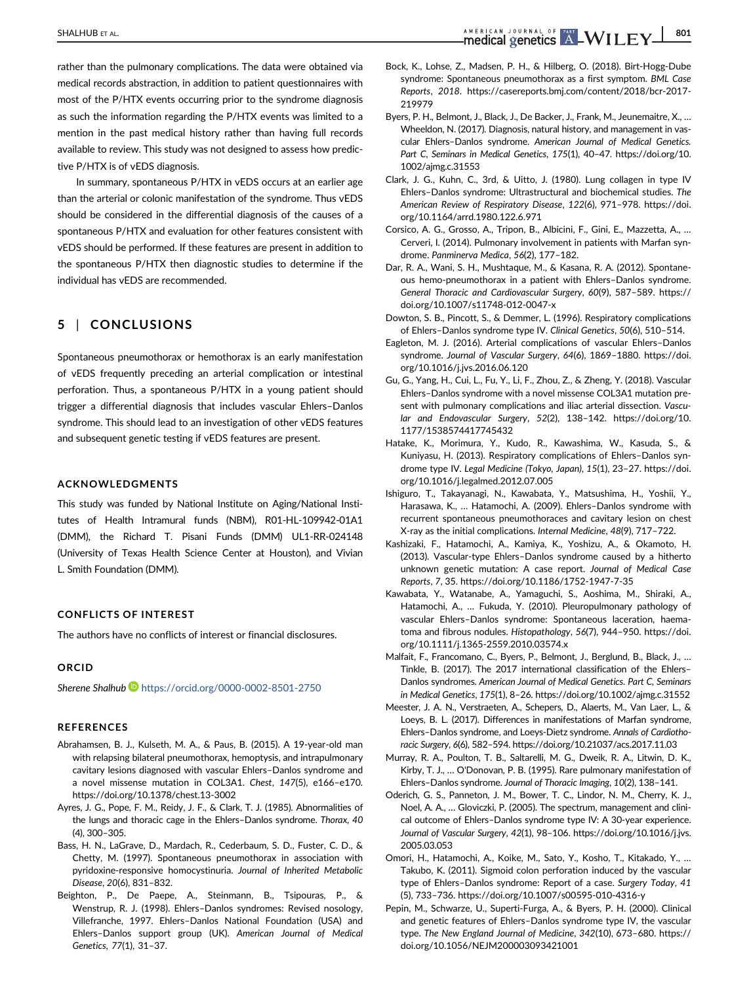rather than the pulmonary complications. The data were obtained via medical records abstraction, in addition to patient questionnaires with most of the P/HTX events occurring prior to the syndrome diagnosis as such the information regarding the P/HTX events was limited to a mention in the past medical history rather than having full records available to review. This study was not designed to assess how predictive P/HTX is of vEDS diagnosis.

In summary, spontaneous P/HTX in vEDS occurs at an earlier age than the arterial or colonic manifestation of the syndrome. Thus vEDS should be considered in the differential diagnosis of the causes of a spontaneous P/HTX and evaluation for other features consistent with vEDS should be performed. If these features are present in addition to the spontaneous P/HTX then diagnostic studies to determine if the individual has vEDS are recommended.

## 5 | CONCLUSIONS

Spontaneous pneumothorax or hemothorax is an early manifestation of vEDS frequently preceding an arterial complication or intestinal perforation. Thus, a spontaneous P/HTX in a young patient should trigger a differential diagnosis that includes vascular Ehlers–Danlos syndrome. This should lead to an investigation of other vEDS features and subsequent genetic testing if vEDS features are present.

#### ACKNOWLEDGMENTS

This study was funded by National Institute on Aging/National Institutes of Health Intramural funds (NBM), R01-HL-109942-01A1 (DMM), the Richard T. Pisani Funds (DMM) UL1-RR-024148 (University of Texas Health Science Center at Houston), and Vivian L. Smith Foundation (DMM).

### CONFLICTS OF INTEREST

The authors have no conflicts of interest or financial disclosures.

#### ORCID

Sherene Shalhub <https://orcid.org/0000-0002-8501-2750>

## **REFERENCES**

- Abrahamsen, B. J., Kulseth, M. A., & Paus, B. (2015). A 19-year-old man with relapsing bilateral pneumothorax, hemoptysis, and intrapulmonary cavitary lesions diagnosed with vascular Ehlers–Danlos syndrome and a novel missense mutation in COL3A1. Chest, 147(5), e166–e170. <https://doi.org/10.1378/chest.13-3002>
- Ayres, J. G., Pope, F. M., Reidy, J. F., & Clark, T. J. (1985). Abnormalities of the lungs and thoracic cage in the Ehlers–Danlos syndrome. Thorax, 40 (4), 300–305.
- Bass, H. N., LaGrave, D., Mardach, R., Cederbaum, S. D., Fuster, C. D., & Chetty, M. (1997). Spontaneous pneumothorax in association with pyridoxine-responsive homocystinuria. Journal of Inherited Metabolic Disease, 20(6), 831–832.
- Beighton, P., De Paepe, A., Steinmann, B., Tsipouras, P., & Wenstrup, R. J. (1998). Ehlers–Danlos syndromes: Revised nosology, Villefranche, 1997. Ehlers–Danlos National Foundation (USA) and Ehlers–Danlos support group (UK). American Journal of Medical Genetics, 77(1), 31–37.
- Bock, K., Lohse, Z., Madsen, P. H., & Hilberg, O. (2018). Birt-Hogg-Dube syndrome: Spontaneous pneumothorax as a first symptom. BML Case Reports, 2018. [https://casereports.bmj.com/content/2018/bcr-2017-]( https://casereports.bmj.com/content/2018/bcr-2017-219979 ) [219979]( https://casereports.bmj.com/content/2018/bcr-2017-219979 )
- Byers, P. H., Belmont, J., Black, J., De Backer, J., Frank, M., Jeunemaitre, X., … Wheeldon, N. (2017). Diagnosis, natural history, and management in vascular Ehlers–Danlos syndrome. American Journal of Medical Genetics. Part C, Seminars in Medical Genetics, 175(1), 40–47. [https://doi.org/10.](https://doi.org/10.1002/ajmg.c.31553) [1002/ajmg.c.31553](https://doi.org/10.1002/ajmg.c.31553)
- Clark, J. G., Kuhn, C., 3rd, & Uitto, J. (1980). Lung collagen in type IV Ehlers–Danlos syndrome: Ultrastructural and biochemical studies. The American Review of Respiratory Disease, 122(6), 971–978. [https://doi.](https://doi.org/10.1164/arrd.1980.122.6.971) [org/10.1164/arrd.1980.122.6.971](https://doi.org/10.1164/arrd.1980.122.6.971)
- Corsico, A. G., Grosso, A., Tripon, B., Albicini, F., Gini, E., Mazzetta, A., … Cerveri, I. (2014). Pulmonary involvement in patients with Marfan syndrome. Panminerva Medica, 56(2), 177–182.
- Dar, R. A., Wani, S. H., Mushtaque, M., & Kasana, R. A. (2012). Spontaneous hemo-pneumothorax in a patient with Ehlers–Danlos syndrome. General Thoracic and Cardiovascular Surgery, 60(9), 587–589. [https://](https://doi.org/10.1007/s11748-012-0047-x) [doi.org/10.1007/s11748-012-0047-x](https://doi.org/10.1007/s11748-012-0047-x)
- Dowton, S. B., Pincott, S., & Demmer, L. (1996). Respiratory complications of Ehlers–Danlos syndrome type IV. Clinical Genetics, 50(6), 510–514.
- Eagleton, M. J. (2016). Arterial complications of vascular Ehlers–Danlos syndrome. Journal of Vascular Surgery, 64(6), 1869–1880. [https://doi.](https://doi.org/10.1016/j.jvs.2016.06.120) [org/10.1016/j.jvs.2016.06.120](https://doi.org/10.1016/j.jvs.2016.06.120)
- Gu, G., Yang, H., Cui, L., Fu, Y., Li, F., Zhou, Z., & Zheng, Y. (2018). Vascular Ehlers–Danlos syndrome with a novel missense COL3A1 mutation present with pulmonary complications and iliac arterial dissection. Vascular and Endovascular Surgery, 52(2), 138–142. [https://doi.org/10.](https://doi.org/10.1177/1538574417745432) [1177/1538574417745432](https://doi.org/10.1177/1538574417745432)
- Hatake, K., Morimura, Y., Kudo, R., Kawashima, W., Kasuda, S., & Kuniyasu, H. (2013). Respiratory complications of Ehlers–Danlos syndrome type IV. Legal Medicine (Tokyo, Japan), 15(1), 23–27. [https://doi.](https://doi.org/10.1016/j.legalmed.2012.07.005) [org/10.1016/j.legalmed.2012.07.005](https://doi.org/10.1016/j.legalmed.2012.07.005)
- Ishiguro, T., Takayanagi, N., Kawabata, Y., Matsushima, H., Yoshii, Y., Harasawa, K., … Hatamochi, A. (2009). Ehlers–Danlos syndrome with recurrent spontaneous pneumothoraces and cavitary lesion on chest X-ray as the initial complications. Internal Medicine, 48(9), 717–722.
- Kashizaki, F., Hatamochi, A., Kamiya, K., Yoshizu, A., & Okamoto, H. (2013). Vascular-type Ehlers–Danlos syndrome caused by a hitherto unknown genetic mutation: A case report. Journal of Medical Case Reports, 7, 35.<https://doi.org/10.1186/1752-1947-7-35>
- Kawabata, Y., Watanabe, A., Yamaguchi, S., Aoshima, M., Shiraki, A., Hatamochi, A., … Fukuda, Y. (2010). Pleuropulmonary pathology of vascular Ehlers–Danlos syndrome: Spontaneous laceration, haematoma and fibrous nodules. Histopathology, 56(7), 944–950. [https://doi.](https://doi.org/10.1111/j.1365-2559.2010.03574.x) [org/10.1111/j.1365-2559.2010.03574.x](https://doi.org/10.1111/j.1365-2559.2010.03574.x)
- Malfait, F., Francomano, C., Byers, P., Belmont, J., Berglund, B., Black, J., … Tinkle, B. (2017). The 2017 international classification of the Ehlers– Danlos syndromes. American Journal of Medical Genetics. Part C, Seminars in Medical Genetics, 175(1), 8–26.<https://doi.org/10.1002/ajmg.c.31552>
- Meester, J. A. N., Verstraeten, A., Schepers, D., Alaerts, M., Van Laer, L., & Loeys, B. L. (2017). Differences in manifestations of Marfan syndrome, Ehlers–Danlos syndrome, and Loeys-Dietz syndrome. Annals of Cardiothoracic Surgery, 6(6), 582–594.<https://doi.org/10.21037/acs.2017.11.03>
- Murray, R. A., Poulton, T. B., Saltarelli, M. G., Dweik, R. A., Litwin, D. K., Kirby, T. J., … O'Donovan, P. B. (1995). Rare pulmonary manifestation of Ehlers–Danlos syndrome. Journal of Thoracic Imaging, 10(2), 138–141.
- Oderich, G. S., Panneton, J. M., Bower, T. C., Lindor, N. M., Cherry, K. J., Noel, A. A., … Gloviczki, P. (2005). The spectrum, management and clinical outcome of Ehlers–Danlos syndrome type IV: A 30-year experience. Journal of Vascular Surgery, 42(1), 98–106. [https://doi.org/10.1016/j.jvs.](https://doi.org/10.1016/j.jvs.2005.03.053) [2005.03.053](https://doi.org/10.1016/j.jvs.2005.03.053)
- Omori, H., Hatamochi, A., Koike, M., Sato, Y., Kosho, T., Kitakado, Y., … Takubo, K. (2011). Sigmoid colon perforation induced by the vascular type of Ehlers–Danlos syndrome: Report of a case. Surgery Today, 41 (5), 733–736.<https://doi.org/10.1007/s00595-010-4316-y>
- Pepin, M., Schwarze, U., Superti-Furga, A., & Byers, P. H. (2000). Clinical and genetic features of Ehlers–Danlos syndrome type IV, the vascular type. The New England Journal of Medicine, 342(10), 673–680. [https://](https://doi.org/10.1056/NEJM200003093421001) [doi.org/10.1056/NEJM200003093421001](https://doi.org/10.1056/NEJM200003093421001)